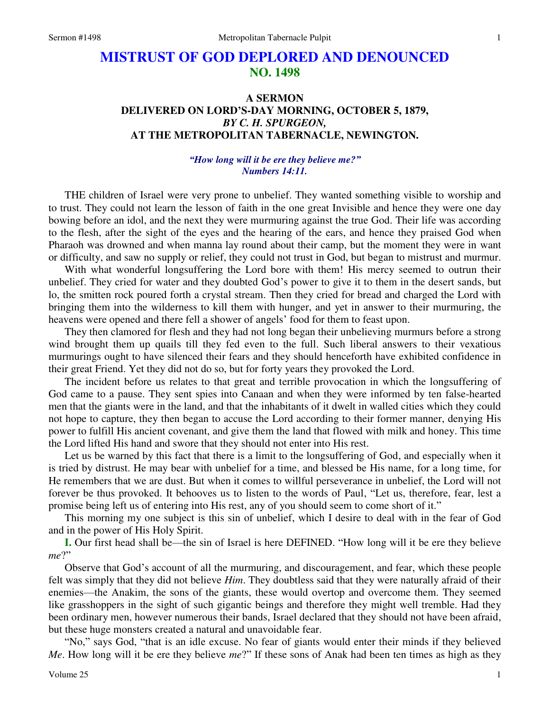## **MISTRUST OF GOD DEPLORED AND DENOUNCED NO. 1498**

## **A SERMON DELIVERED ON LORD'S-DAY MORNING, OCTOBER 5, 1879,**  *BY C. H. SPURGEON,*  **AT THE METROPOLITAN TABERNACLE, NEWINGTON.**

## *"How long will it be ere they believe me?" Numbers 14:11.*

THE children of Israel were very prone to unbelief. They wanted something visible to worship and to trust. They could not learn the lesson of faith in the one great Invisible and hence they were one day bowing before an idol, and the next they were murmuring against the true God. Their life was according to the flesh, after the sight of the eyes and the hearing of the ears, and hence they praised God when Pharaoh was drowned and when manna lay round about their camp, but the moment they were in want or difficulty, and saw no supply or relief, they could not trust in God, but began to mistrust and murmur.

 With what wonderful longsuffering the Lord bore with them! His mercy seemed to outrun their unbelief. They cried for water and they doubted God's power to give it to them in the desert sands, but lo, the smitten rock poured forth a crystal stream. Then they cried for bread and charged the Lord with bringing them into the wilderness to kill them with hunger, and yet in answer to their murmuring, the heavens were opened and there fell a shower of angels' food for them to feast upon.

 They then clamored for flesh and they had not long began their unbelieving murmurs before a strong wind brought them up quails till they fed even to the full. Such liberal answers to their vexatious murmurings ought to have silenced their fears and they should henceforth have exhibited confidence in their great Friend. Yet they did not do so, but for forty years they provoked the Lord.

 The incident before us relates to that great and terrible provocation in which the longsuffering of God came to a pause. They sent spies into Canaan and when they were informed by ten false-hearted men that the giants were in the land, and that the inhabitants of it dwelt in walled cities which they could not hope to capture, they then began to accuse the Lord according to their former manner, denying His power to fulfill His ancient covenant, and give them the land that flowed with milk and honey. This time the Lord lifted His hand and swore that they should not enter into His rest.

 Let us be warned by this fact that there is a limit to the longsuffering of God, and especially when it is tried by distrust. He may bear with unbelief for a time, and blessed be His name, for a long time, for He remembers that we are dust. But when it comes to willful perseverance in unbelief, the Lord will not forever be thus provoked. It behooves us to listen to the words of Paul, "Let us, therefore, fear, lest a promise being left us of entering into His rest, any of you should seem to come short of it."

 This morning my one subject is this sin of unbelief, which I desire to deal with in the fear of God and in the power of His Holy Spirit.

**I.** Our first head shall be—the sin of Israel is here DEFINED. "How long will it be ere they believe *me*?"

 Observe that God's account of all the murmuring, and discouragement, and fear, which these people felt was simply that they did not believe *Him*. They doubtless said that they were naturally afraid of their enemies—the Anakim, the sons of the giants, these would overtop and overcome them. They seemed like grasshoppers in the sight of such gigantic beings and therefore they might well tremble. Had they been ordinary men, however numerous their bands, Israel declared that they should not have been afraid, but these huge monsters created a natural and unavoidable fear.

"No," says God, "that is an idle excuse. No fear of giants would enter their minds if they believed *Me*. How long will it be ere they believe *me*?" If these sons of Anak had been ten times as high as they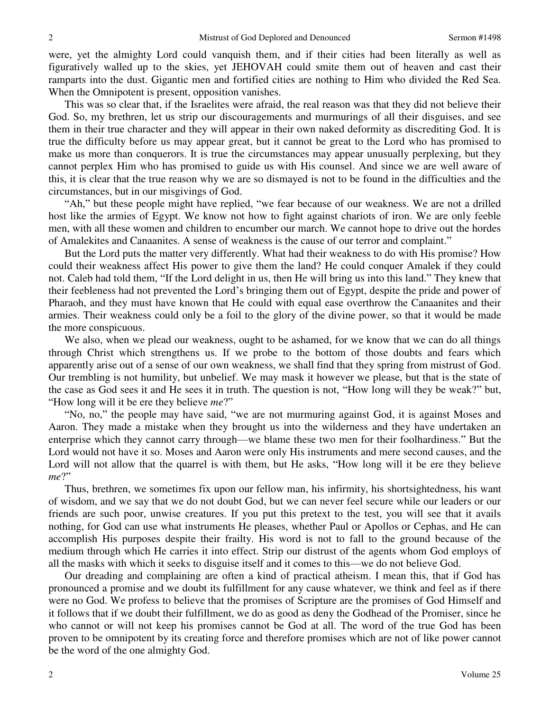were, yet the almighty Lord could vanquish them, and if their cities had been literally as well as figuratively walled up to the skies, yet JEHOVAH could smite them out of heaven and cast their ramparts into the dust. Gigantic men and fortified cities are nothing to Him who divided the Red Sea. When the Omnipotent is present, opposition vanishes.

 This was so clear that, if the Israelites were afraid, the real reason was that they did not believe their God. So, my brethren, let us strip our discouragements and murmurings of all their disguises, and see them in their true character and they will appear in their own naked deformity as discrediting God. It is true the difficulty before us may appear great, but it cannot be great to the Lord who has promised to make us more than conquerors. It is true the circumstances may appear unusually perplexing, but they cannot perplex Him who has promised to guide us with His counsel. And since we are well aware of this, it is clear that the true reason why we are so dismayed is not to be found in the difficulties and the circumstances, but in our misgivings of God.

"Ah," but these people might have replied, "we fear because of our weakness. We are not a drilled host like the armies of Egypt. We know not how to fight against chariots of iron. We are only feeble men, with all these women and children to encumber our march. We cannot hope to drive out the hordes of Amalekites and Canaanites. A sense of weakness is the cause of our terror and complaint."

 But the Lord puts the matter very differently. What had their weakness to do with His promise? How could their weakness affect His power to give them the land? He could conquer Amalek if they could not. Caleb had told them, "If the Lord delight in us, then He will bring us into this land." They knew that their feebleness had not prevented the Lord's bringing them out of Egypt, despite the pride and power of Pharaoh, and they must have known that He could with equal ease overthrow the Canaanites and their armies. Their weakness could only be a foil to the glory of the divine power, so that it would be made the more conspicuous.

 We also, when we plead our weakness, ought to be ashamed, for we know that we can do all things through Christ which strengthens us. If we probe to the bottom of those doubts and fears which apparently arise out of a sense of our own weakness, we shall find that they spring from mistrust of God. Our trembling is not humility, but unbelief. We may mask it however we please, but that is the state of the case as God sees it and He sees it in truth. The question is not, "How long will they be weak?" but, "How long will it be ere they believe *me*?"

"No, no," the people may have said, "we are not murmuring against God, it is against Moses and Aaron. They made a mistake when they brought us into the wilderness and they have undertaken an enterprise which they cannot carry through—we blame these two men for their foolhardiness." But the Lord would not have it so. Moses and Aaron were only His instruments and mere second causes, and the Lord will not allow that the quarrel is with them, but He asks, "How long will it be ere they believe *me*?"

 Thus, brethren, we sometimes fix upon our fellow man, his infirmity, his shortsightedness, his want of wisdom, and we say that we do not doubt God, but we can never feel secure while our leaders or our friends are such poor, unwise creatures. If you put this pretext to the test, you will see that it avails nothing, for God can use what instruments He pleases, whether Paul or Apollos or Cephas, and He can accomplish His purposes despite their frailty. His word is not to fall to the ground because of the medium through which He carries it into effect. Strip our distrust of the agents whom God employs of all the masks with which it seeks to disguise itself and it comes to this—we do not believe God.

 Our dreading and complaining are often a kind of practical atheism. I mean this, that if God has pronounced a promise and we doubt its fulfillment for any cause whatever, we think and feel as if there were no God. We profess to believe that the promises of Scripture are the promises of God Himself and it follows that if we doubt their fulfillment, we do as good as deny the Godhead of the Promiser, since he who cannot or will not keep his promises cannot be God at all. The word of the true God has been proven to be omnipotent by its creating force and therefore promises which are not of like power cannot be the word of the one almighty God.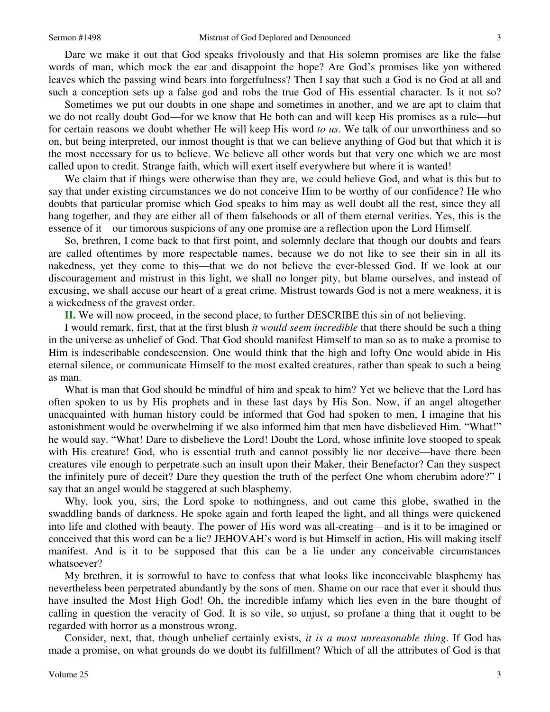Dare we make it out that God speaks frivolously and that His solemn promises are like the false words of man, which mock the ear and disappoint the hope? Are God's promises like yon withered leaves which the passing wind bears into forgetfulness? Then I say that such a God is no God at all and such a conception sets up a false god and robs the true God of His essential character. Is it not so?

 Sometimes we put our doubts in one shape and sometimes in another, and we are apt to claim that we do not really doubt God—for we know that He both can and will keep His promises as a rule—but for certain reasons we doubt whether He will keep His word *to us*. We talk of our unworthiness and so on, but being interpreted, our inmost thought is that we can believe anything of God but that which it is the most necessary for us to believe. We believe all other words but that very one which we are most called upon to credit. Strange faith, which will exert itself everywhere but where it is wanted!

 We claim that if things were otherwise than they are, we could believe God, and what is this but to say that under existing circumstances we do not conceive Him to be worthy of our confidence? He who doubts that particular promise which God speaks to him may as well doubt all the rest, since they all hang together, and they are either all of them falsehoods or all of them eternal verities. Yes, this is the essence of it—our timorous suspicions of any one promise are a reflection upon the Lord Himself.

 So, brethren, I come back to that first point, and solemnly declare that though our doubts and fears are called oftentimes by more respectable names, because we do not like to see their sin in all its nakedness, yet they come to this—that we do not believe the ever-blessed God. If we look at our discouragement and mistrust in this light, we shall no longer pity, but blame ourselves, and instead of excusing, we shall accuse our heart of a great crime. Mistrust towards God is not a mere weakness, it is a wickedness of the gravest order.

**II.** We will now proceed, in the second place, to further DESCRIBE this sin of not believing.

 I would remark, first, that at the first blush *it would seem incredible* that there should be such a thing in the universe as unbelief of God. That God should manifest Himself to man so as to make a promise to Him is indescribable condescension. One would think that the high and lofty One would abide in His eternal silence, or communicate Himself to the most exalted creatures, rather than speak to such a being as man.

 What is man that God should be mindful of him and speak to him? Yet we believe that the Lord has often spoken to us by His prophets and in these last days by His Son. Now, if an angel altogether unacquainted with human history could be informed that God had spoken to men, I imagine that his astonishment would be overwhelming if we also informed him that men have disbelieved Him. "What!" he would say. "What! Dare to disbelieve the Lord! Doubt the Lord, whose infinite love stooped to speak with His creature! God, who is essential truth and cannot possibly lie nor deceive—have there been creatures vile enough to perpetrate such an insult upon their Maker, their Benefactor? Can they suspect the infinitely pure of deceit? Dare they question the truth of the perfect One whom cherubim adore?" I say that an angel would be staggered at such blasphemy.

 Why, look you, sirs, the Lord spoke to nothingness, and out came this globe, swathed in the swaddling bands of darkness. He spoke again and forth leaped the light, and all things were quickened into life and clothed with beauty. The power of His word was all-creating—and is it to be imagined or conceived that this word can be a lie? JEHOVAH's word is but Himself in action, His will making itself manifest. And is it to be supposed that this can be a lie under any conceivable circumstances whatsoever?

 My brethren, it is sorrowful to have to confess that what looks like inconceivable blasphemy has nevertheless been perpetrated abundantly by the sons of men. Shame on our race that ever it should thus have insulted the Most High God! Oh, the incredible infamy which lies even in the bare thought of calling in question the veracity of God. It is so vile, so unjust, so profane a thing that it ought to be regarded with horror as a monstrous wrong.

 Consider, next, that, though unbelief certainly exists, *it is a most unreasonable thing*. If God has made a promise, on what grounds do we doubt its fulfillment? Which of all the attributes of God is that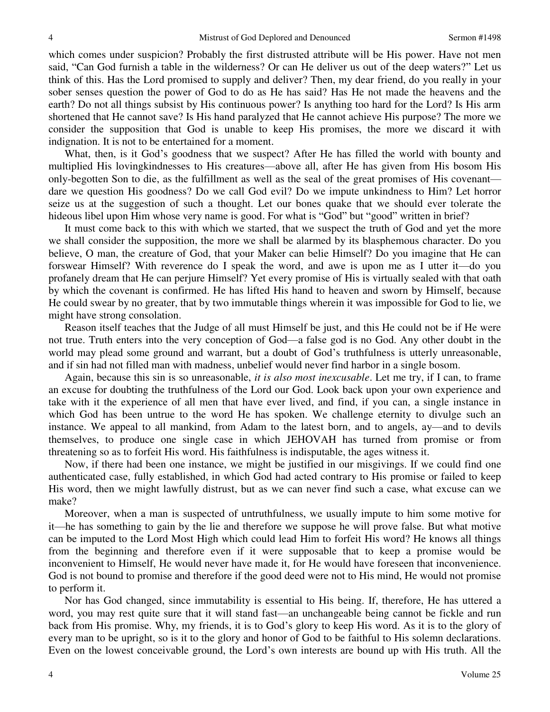which comes under suspicion? Probably the first distrusted attribute will be His power. Have not men said, "Can God furnish a table in the wilderness? Or can He deliver us out of the deep waters?" Let us think of this. Has the Lord promised to supply and deliver? Then, my dear friend, do you really in your sober senses question the power of God to do as He has said? Has He not made the heavens and the earth? Do not all things subsist by His continuous power? Is anything too hard for the Lord? Is His arm shortened that He cannot save? Is His hand paralyzed that He cannot achieve His purpose? The more we consider the supposition that God is unable to keep His promises, the more we discard it with indignation. It is not to be entertained for a moment.

 What, then, is it God's goodness that we suspect? After He has filled the world with bounty and multiplied His lovingkindnesses to His creatures—above all, after He has given from His bosom His only-begotten Son to die, as the fulfillment as well as the seal of the great promises of His covenant dare we question His goodness? Do we call God evil? Do we impute unkindness to Him? Let horror seize us at the suggestion of such a thought. Let our bones quake that we should ever tolerate the hideous libel upon Him whose very name is good. For what is "God" but "good" written in brief?

 It must come back to this with which we started, that we suspect the truth of God and yet the more we shall consider the supposition, the more we shall be alarmed by its blasphemous character. Do you believe, O man, the creature of God, that your Maker can belie Himself? Do you imagine that He can forswear Himself? With reverence do I speak the word, and awe is upon me as I utter it—do you profanely dream that He can perjure Himself? Yet every promise of His is virtually sealed with that oath by which the covenant is confirmed. He has lifted His hand to heaven and sworn by Himself, because He could swear by no greater, that by two immutable things wherein it was impossible for God to lie, we might have strong consolation.

 Reason itself teaches that the Judge of all must Himself be just, and this He could not be if He were not true. Truth enters into the very conception of God—a false god is no God. Any other doubt in the world may plead some ground and warrant, but a doubt of God's truthfulness is utterly unreasonable, and if sin had not filled man with madness, unbelief would never find harbor in a single bosom.

 Again, because this sin is so unreasonable, *it is also most inexcusable*. Let me try, if I can, to frame an excuse for doubting the truthfulness of the Lord our God. Look back upon your own experience and take with it the experience of all men that have ever lived, and find, if you can, a single instance in which God has been untrue to the word He has spoken. We challenge eternity to divulge such an instance. We appeal to all mankind, from Adam to the latest born, and to angels, ay—and to devils themselves, to produce one single case in which JEHOVAH has turned from promise or from threatening so as to forfeit His word. His faithfulness is indisputable, the ages witness it.

 Now, if there had been one instance, we might be justified in our misgivings. If we could find one authenticated case, fully established, in which God had acted contrary to His promise or failed to keep His word, then we might lawfully distrust, but as we can never find such a case, what excuse can we make?

 Moreover, when a man is suspected of untruthfulness, we usually impute to him some motive for it—he has something to gain by the lie and therefore we suppose he will prove false. But what motive can be imputed to the Lord Most High which could lead Him to forfeit His word? He knows all things from the beginning and therefore even if it were supposable that to keep a promise would be inconvenient to Himself, He would never have made it, for He would have foreseen that inconvenience. God is not bound to promise and therefore if the good deed were not to His mind, He would not promise to perform it.

 Nor has God changed, since immutability is essential to His being. If, therefore, He has uttered a word, you may rest quite sure that it will stand fast—an unchangeable being cannot be fickle and run back from His promise. Why, my friends, it is to God's glory to keep His word. As it is to the glory of every man to be upright, so is it to the glory and honor of God to be faithful to His solemn declarations. Even on the lowest conceivable ground, the Lord's own interests are bound up with His truth. All the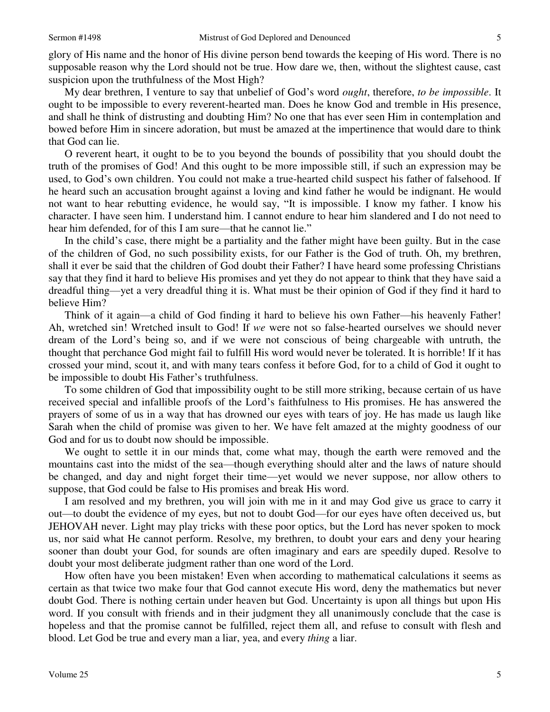glory of His name and the honor of His divine person bend towards the keeping of His word. There is no supposable reason why the Lord should not be true. How dare we, then, without the slightest cause, cast suspicion upon the truthfulness of the Most High?

 My dear brethren, I venture to say that unbelief of God's word *ought*, therefore, *to be impossible*. It ought to be impossible to every reverent-hearted man. Does he know God and tremble in His presence, and shall he think of distrusting and doubting Him? No one that has ever seen Him in contemplation and bowed before Him in sincere adoration, but must be amazed at the impertinence that would dare to think that God can lie.

 O reverent heart, it ought to be to you beyond the bounds of possibility that you should doubt the truth of the promises of God! And this ought to be more impossible still, if such an expression may be used, to God's own children. You could not make a true-hearted child suspect his father of falsehood. If he heard such an accusation brought against a loving and kind father he would be indignant. He would not want to hear rebutting evidence, he would say, "It is impossible. I know my father. I know his character. I have seen him. I understand him. I cannot endure to hear him slandered and I do not need to hear him defended, for of this I am sure—that he cannot lie."

 In the child's case, there might be a partiality and the father might have been guilty. But in the case of the children of God, no such possibility exists, for our Father is the God of truth. Oh, my brethren, shall it ever be said that the children of God doubt their Father? I have heard some professing Christians say that they find it hard to believe His promises and yet they do not appear to think that they have said a dreadful thing—yet a very dreadful thing it is. What must be their opinion of God if they find it hard to believe Him?

 Think of it again—a child of God finding it hard to believe his own Father—his heavenly Father! Ah, wretched sin! Wretched insult to God! If *we* were not so false-hearted ourselves we should never dream of the Lord's being so, and if we were not conscious of being chargeable with untruth, the thought that perchance God might fail to fulfill His word would never be tolerated. It is horrible! If it has crossed your mind, scout it, and with many tears confess it before God, for to a child of God it ought to be impossible to doubt His Father's truthfulness.

 To some children of God that impossibility ought to be still more striking, because certain of us have received special and infallible proofs of the Lord's faithfulness to His promises. He has answered the prayers of some of us in a way that has drowned our eyes with tears of joy. He has made us laugh like Sarah when the child of promise was given to her. We have felt amazed at the mighty goodness of our God and for us to doubt now should be impossible.

 We ought to settle it in our minds that, come what may, though the earth were removed and the mountains cast into the midst of the sea—though everything should alter and the laws of nature should be changed, and day and night forget their time—yet would we never suppose, nor allow others to suppose, that God could be false to His promises and break His word.

 I am resolved and my brethren, you will join with me in it and may God give us grace to carry it out—to doubt the evidence of my eyes, but not to doubt God—for our eyes have often deceived us, but JEHOVAH never. Light may play tricks with these poor optics, but the Lord has never spoken to mock us, nor said what He cannot perform. Resolve, my brethren, to doubt your ears and deny your hearing sooner than doubt your God, for sounds are often imaginary and ears are speedily duped. Resolve to doubt your most deliberate judgment rather than one word of the Lord.

 How often have you been mistaken! Even when according to mathematical calculations it seems as certain as that twice two make four that God cannot execute His word, deny the mathematics but never doubt God. There is nothing certain under heaven but God. Uncertainty is upon all things but upon His word. If you consult with friends and in their judgment they all unanimously conclude that the case is hopeless and that the promise cannot be fulfilled, reject them all, and refuse to consult with flesh and blood. Let God be true and every man a liar, yea, and every *thing* a liar.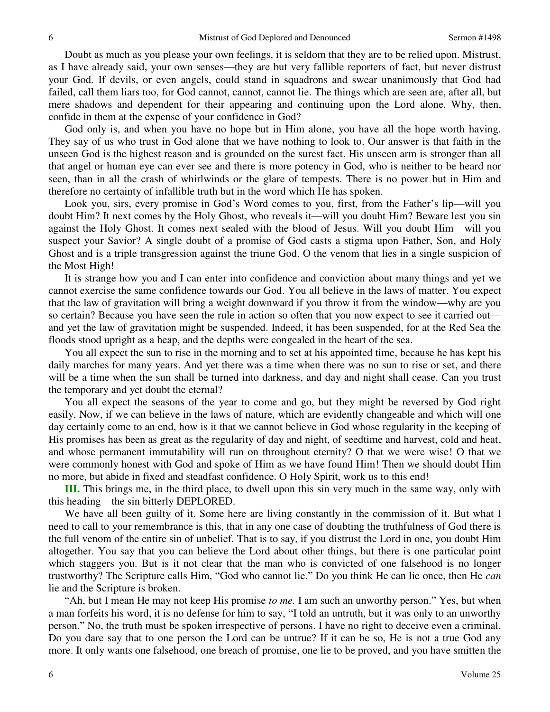Doubt as much as you please your own feelings, it is seldom that they are to be relied upon. Mistrust, as I have already said, your own senses—they are but very fallible reporters of fact, but never distrust your God. If devils, or even angels, could stand in squadrons and swear unanimously that God had failed, call them liars too, for God cannot, cannot, cannot lie. The things which are seen are, after all, but mere shadows and dependent for their appearing and continuing upon the Lord alone. Why, then, confide in them at the expense of your confidence in God?

God only is, and when you have no hope but in Him alone, you have all the hope worth having. They say of us who trust in God alone that we have nothing to look to. Our answer is that faith in the unseen God is the highest reason and is grounded on the surest fact. His unseen arm is stronger than all that angel or human eye can ever see and there is more potency in God, who is neither to be heard nor seen, than in all the crash of whirlwinds or the glare of tempests. There is no power but in Him and therefore no certainty of infallible truth but in the word which He has spoken.

 Look you, sirs, every promise in God's Word comes to you, first, from the Father's lip—will you doubt Him? It next comes by the Holy Ghost, who reveals it—will you doubt Him? Beware lest you sin against the Holy Ghost. It comes next sealed with the blood of Jesus. Will you doubt Him—will you suspect your Savior? A single doubt of a promise of God casts a stigma upon Father, Son, and Holy Ghost and is a triple transgression against the triune God. O the venom that lies in a single suspicion of the Most High!

 It is strange how you and I can enter into confidence and conviction about many things and yet we cannot exercise the same confidence towards our God. You all believe in the laws of matter. You expect that the law of gravitation will bring a weight downward if you throw it from the window—why are you so certain? Because you have seen the rule in action so often that you now expect to see it carried out and yet the law of gravitation might be suspended. Indeed, it has been suspended, for at the Red Sea the floods stood upright as a heap, and the depths were congealed in the heart of the sea.

 You all expect the sun to rise in the morning and to set at his appointed time, because he has kept his daily marches for many years. And yet there was a time when there was no sun to rise or set, and there will be a time when the sun shall be turned into darkness, and day and night shall cease. Can you trust the temporary and yet doubt the eternal?

 You all expect the seasons of the year to come and go, but they might be reversed by God right easily. Now, if we can believe in the laws of nature, which are evidently changeable and which will one day certainly come to an end, how is it that we cannot believe in God whose regularity in the keeping of His promises has been as great as the regularity of day and night, of seedtime and harvest, cold and heat, and whose permanent immutability will run on throughout eternity? O that we were wise! O that we were commonly honest with God and spoke of Him as we have found Him! Then we should doubt Him no more, but abide in fixed and steadfast confidence. O Holy Spirit, work us to this end!

**III.** This brings me, in the third place, to dwell upon this sin very much in the same way, only with this heading—the sin bitterly DEPLORED.

 We have all been guilty of it. Some here are living constantly in the commission of it. But what I need to call to your remembrance is this, that in any one case of doubting the truthfulness of God there is the full venom of the entire sin of unbelief. That is to say, if you distrust the Lord in one, you doubt Him altogether. You say that you can believe the Lord about other things, but there is one particular point which staggers you. But is it not clear that the man who is convicted of one falsehood is no longer trustworthy? The Scripture calls Him, "God who cannot lie." Do you think He can lie once, then He *can* lie and the Scripture is broken.

"Ah, but I mean He may not keep His promise *to me.* I am such an unworthy person." Yes, but when a man forfeits his word, it is no defense for him to say, "I told an untruth, but it was only to an unworthy person." No, the truth must be spoken irrespective of persons. I have no right to deceive even a criminal. Do you dare say that to one person the Lord can be untrue? If it can be so, He is not a true God any more. It only wants one falsehood, one breach of promise, one lie to be proved, and you have smitten the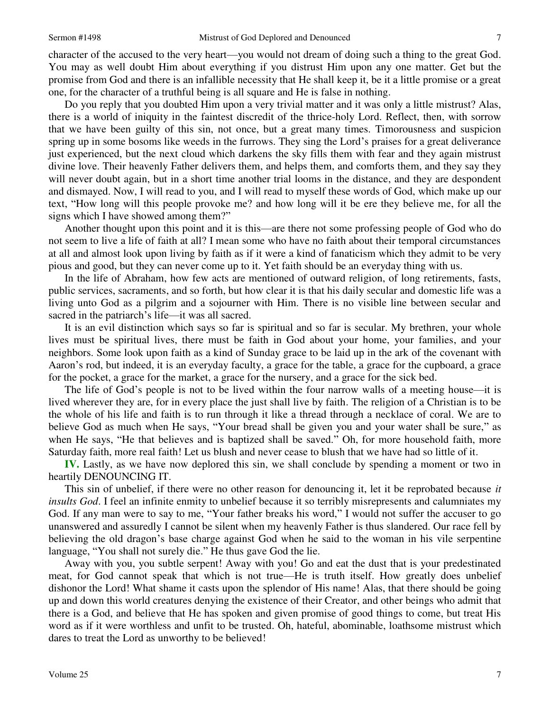character of the accused to the very heart—you would not dream of doing such a thing to the great God.

7

You may as well doubt Him about everything if you distrust Him upon any one matter. Get but the promise from God and there is an infallible necessity that He shall keep it, be it a little promise or a great one, for the character of a truthful being is all square and He is false in nothing.

 Do you reply that you doubted Him upon a very trivial matter and it was only a little mistrust? Alas, there is a world of iniquity in the faintest discredit of the thrice-holy Lord. Reflect, then, with sorrow that we have been guilty of this sin, not once, but a great many times. Timorousness and suspicion spring up in some bosoms like weeds in the furrows. They sing the Lord's praises for a great deliverance just experienced, but the next cloud which darkens the sky fills them with fear and they again mistrust divine love. Their heavenly Father delivers them, and helps them, and comforts them, and they say they will never doubt again, but in a short time another trial looms in the distance, and they are despondent and dismayed. Now, I will read to you, and I will read to myself these words of God, which make up our text, "How long will this people provoke me? and how long will it be ere they believe me, for all the signs which I have showed among them?"

 Another thought upon this point and it is this—are there not some professing people of God who do not seem to live a life of faith at all? I mean some who have no faith about their temporal circumstances at all and almost look upon living by faith as if it were a kind of fanaticism which they admit to be very pious and good, but they can never come up to it. Yet faith should be an everyday thing with us.

 In the life of Abraham, how few acts are mentioned of outward religion, of long retirements, fasts, public services, sacraments, and so forth, but how clear it is that his daily secular and domestic life was a living unto God as a pilgrim and a sojourner with Him. There is no visible line between secular and sacred in the patriarch's life—it was all sacred.

 It is an evil distinction which says so far is spiritual and so far is secular. My brethren, your whole lives must be spiritual lives, there must be faith in God about your home, your families, and your neighbors. Some look upon faith as a kind of Sunday grace to be laid up in the ark of the covenant with Aaron's rod, but indeed, it is an everyday faculty, a grace for the table, a grace for the cupboard, a grace for the pocket, a grace for the market, a grace for the nursery, and a grace for the sick bed.

 The life of God's people is not to be lived within the four narrow walls of a meeting house—it is lived wherever they are, for in every place the just shall live by faith. The religion of a Christian is to be the whole of his life and faith is to run through it like a thread through a necklace of coral. We are to believe God as much when He says, "Your bread shall be given you and your water shall be sure," as when He says, "He that believes and is baptized shall be saved." Oh, for more household faith, more Saturday faith, more real faith! Let us blush and never cease to blush that we have had so little of it.

**IV.** Lastly, as we have now deplored this sin, we shall conclude by spending a moment or two in heartily DENOUNCING IT.

 This sin of unbelief, if there were no other reason for denouncing it, let it be reprobated because *it insults God*. I feel an infinite enmity to unbelief because it so terribly misrepresents and calumniates my God. If any man were to say to me, "Your father breaks his word," I would not suffer the accuser to go unanswered and assuredly I cannot be silent when my heavenly Father is thus slandered. Our race fell by believing the old dragon's base charge against God when he said to the woman in his vile serpentine language, "You shall not surely die." He thus gave God the lie.

 Away with you, you subtle serpent! Away with you! Go and eat the dust that is your predestinated meat, for God cannot speak that which is not true—He is truth itself. How greatly does unbelief dishonor the Lord! What shame it casts upon the splendor of His name! Alas, that there should be going up and down this world creatures denying the existence of their Creator, and other beings who admit that there is a God, and believe that He has spoken and given promise of good things to come, but treat His word as if it were worthless and unfit to be trusted. Oh, hateful, abominable, loathsome mistrust which dares to treat the Lord as unworthy to be believed!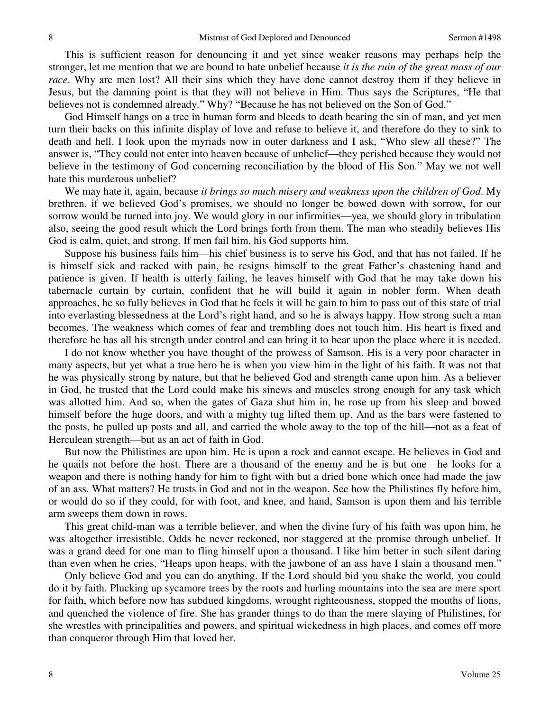This is sufficient reason for denouncing it and yet since weaker reasons may perhaps help the stronger, let me mention that we are bound to hate unbelief because *it is the ruin of the great mass of our race*. Why are men lost? All their sins which they have done cannot destroy them if they believe in Jesus, but the damning point is that they will not believe in Him. Thus says the Scriptures, "He that believes not is condemned already." Why? "Because he has not believed on the Son of God."

 God Himself hangs on a tree in human form and bleeds to death bearing the sin of man, and yet men turn their backs on this infinite display of love and refuse to believe it, and therefore do they to sink to death and hell. I look upon the myriads now in outer darkness and I ask, "Who slew all these?" The answer is, "They could not enter into heaven because of unbelief—they perished because they would not believe in the testimony of God concerning reconciliation by the blood of His Son." May we not well hate this murderous unbelief?

 We may hate it, again, because *it brings so much misery and weakness upon the children of God*. My brethren, if we believed God's promises, we should no longer be bowed down with sorrow, for our sorrow would be turned into joy. We would glory in our infirmities—yea, we should glory in tribulation also, seeing the good result which the Lord brings forth from them. The man who steadily believes His God is calm, quiet, and strong. If men fail him, his God supports him.

 Suppose his business fails him—his chief business is to serve his God, and that has not failed. If he is himself sick and racked with pain, he resigns himself to the great Father's chastening hand and patience is given. If health is utterly failing, he leaves himself with God that he may take down his tabernacle curtain by curtain, confident that he will build it again in nobler form. When death approaches, he so fully believes in God that he feels it will be gain to him to pass out of this state of trial into everlasting blessedness at the Lord's right hand, and so he is always happy. How strong such a man becomes. The weakness which comes of fear and trembling does not touch him. His heart is fixed and therefore he has all his strength under control and can bring it to bear upon the place where it is needed.

 I do not know whether you have thought of the prowess of Samson. His is a very poor character in many aspects, but yet what a true hero he is when you view him in the light of his faith. It was not that he was physically strong by nature, but that he believed God and strength came upon him. As a believer in God, he trusted that the Lord could make his sinews and muscles strong enough for any task which was allotted him. And so, when the gates of Gaza shut him in, he rose up from his sleep and bowed himself before the huge doors, and with a mighty tug lifted them up. And as the bars were fastened to the posts, he pulled up posts and all, and carried the whole away to the top of the hill—not as a feat of Herculean strength—but as an act of faith in God.

 But now the Philistines are upon him. He is upon a rock and cannot escape. He believes in God and he quails not before the host. There are a thousand of the enemy and he is but one—he looks for a weapon and there is nothing handy for him to fight with but a dried bone which once had made the jaw of an ass. What matters? He trusts in God and not in the weapon. See how the Philistines fly before him, or would do so if they could, for with foot, and knee, and hand, Samson is upon them and his terrible arm sweeps them down in rows.

 This great child-man was a terrible believer, and when the divine fury of his faith was upon him, he was altogether irresistible. Odds he never reckoned, nor staggered at the promise through unbelief. It was a grand deed for one man to fling himself upon a thousand. I like him better in such silent daring than even when he cries, "Heaps upon heaps, with the jawbone of an ass have I slain a thousand men."

 Only believe God and you can do anything. If the Lord should bid you shake the world, you could do it by faith. Plucking up sycamore trees by the roots and hurling mountains into the sea are mere sport for faith, which before now has subdued kingdoms, wrought righteousness, stopped the mouths of lions, and quenched the violence of fire. She has grander things to do than the mere slaying of Philistines, for she wrestles with principalities and powers, and spiritual wickedness in high places, and comes off more than conqueror through Him that loved her.